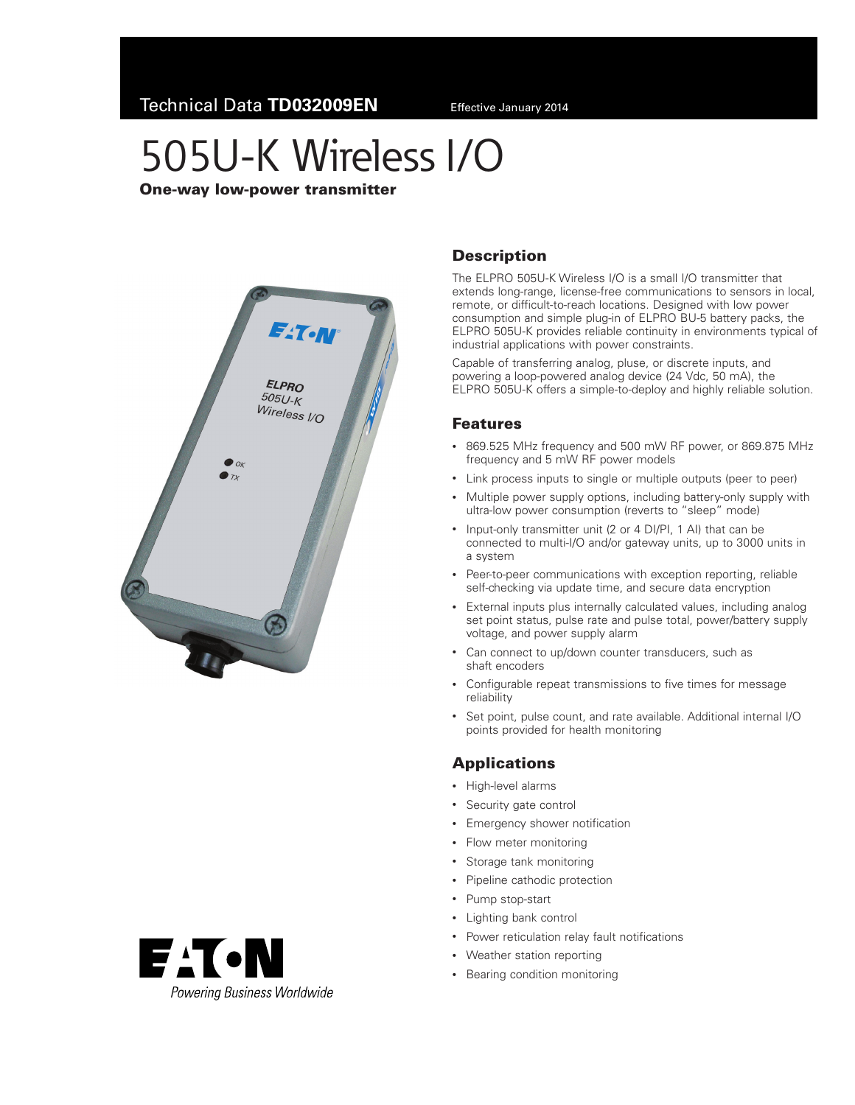# 505U-K Wireless I/O

One‑way low‑power transmitter





### **Description**

The ELPRO 505U-K Wireless I/O is a small I/O transmitter that extends long-range, license-free communications to sensors in local, remote, or difficult-to-reach locations. Designed with low power consumption and simple plug-in of ELPRO BU-5 battery packs, the ELPRO 505U-K provides reliable continuity in environments typical of industrial applications with power constraints.

Capable of transferring analog, pluse, or discrete inputs, and powering a loop-powered analog device (24 Vdc, 50 mA), the ELPRO 505U-K offers a simple-to-deploy and highly reliable solution.

#### Features

- • 869.525 MHz frequency and 500 mW RF power, or 869.875 MHz frequency and 5 mW RF power models
- Link process inputs to single or multiple outputs (peer to peer)
- Multiple power supply options, including battery-only supply with ultra-low power consumption (reverts to "sleep" mode)
- Input-only transmitter unit (2 or 4 DI/PI, 1 AI) that can be connected to multi-I/O and/or gateway units, up to 3000 units in a system
- Peer-to-peer communications with exception reporting, reliable self-checking via update time, and secure data encryption
- • External inputs plus internally calculated values, including analog set point status, pulse rate and pulse total, power/battery supply voltage, and power supply alarm
- Can connect to up/down counter transducers, such as shaft encoders
- Configurable repeat transmissions to five times for message reliability
- Set point, pulse count, and rate available. Additional internal I/O points provided for health monitoring

#### Applications

- • High-level alarms
- • Security gate control
- • Emergency shower notification
- Flow meter monitoring
- • Storage tank monitoring
- Pipeline cathodic protection
- Pump stop-start
- • Lighting bank control
- • Power reticulation relay fault notifications
- • Weather station reporting
- Bearing condition monitoring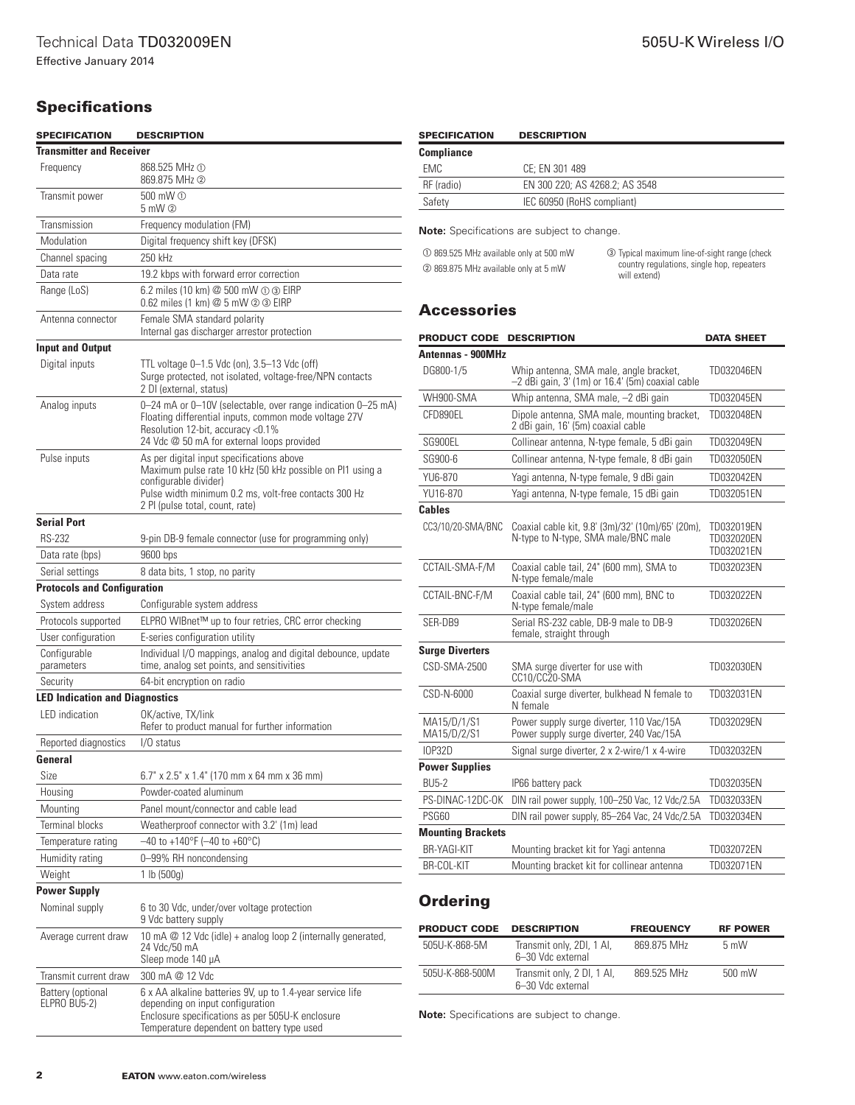## **Specifications**

| <b>SPECIFICATION</b>                     | <b>DESCRIPTION</b>                                                                                                                                                                                                          |  |  |
|------------------------------------------|-----------------------------------------------------------------------------------------------------------------------------------------------------------------------------------------------------------------------------|--|--|
| <b>Transmitter and Receiver</b>          |                                                                                                                                                                                                                             |  |  |
| Frequency                                | 868.525 MHz ①<br>869.875 MHz 2                                                                                                                                                                                              |  |  |
| Transmit power                           | 500 mW ①<br>$5 \text{ mW}$ (2)                                                                                                                                                                                              |  |  |
| Transmission                             | Frequency modulation (FM)                                                                                                                                                                                                   |  |  |
| Modulation                               | Digital frequency shift key (DFSK)                                                                                                                                                                                          |  |  |
| Channel spacing                          | 250 kHz                                                                                                                                                                                                                     |  |  |
| Data rate                                | 19.2 kbps with forward error correction                                                                                                                                                                                     |  |  |
| Range (LoS)                              | 6.2 miles (10 km) @ 500 mW ① ③ EIRP<br>0.62 miles (1 km) @ 5 mW @ 3 EIRP                                                                                                                                                    |  |  |
| Antenna connector                        | Female SMA standard polarity<br>Internal gas discharger arrestor protection                                                                                                                                                 |  |  |
| <b>Input and Output</b>                  |                                                                                                                                                                                                                             |  |  |
| Digital inputs                           | TTL voltage 0–1.5 Vdc (on), 3.5–13 Vdc (off)<br>Surge protected, not isolated, voltage-free/NPN contacts<br>2 DI (external, status)                                                                                         |  |  |
| Analog inputs                            | 0-24 mA or 0-10V (selectable, over range indication 0-25 mA)<br>Floating differential inputs, common mode voltage 27V<br>Resolution 12-bit, accuracy <0.1%<br>24 Vdc @ 50 mA for external loops provided                    |  |  |
| Pulse inputs                             | As per digital input specifications above<br>Maximum pulse rate 10 kHz (50 kHz possible on PI1 using a<br>configurable divider)<br>Pulse width minimum 0.2 ms, volt-free contacts 300 Hz<br>2 PI (pulse total, count, rate) |  |  |
| <b>Serial Port</b>                       |                                                                                                                                                                                                                             |  |  |
| <b>RS-232</b>                            | 9-pin DB-9 female connector (use for programming only)                                                                                                                                                                      |  |  |
| Data rate (bps)                          | 9600 bps                                                                                                                                                                                                                    |  |  |
| Serial settings                          | 8 data bits, 1 stop, no parity                                                                                                                                                                                              |  |  |
| <b>Protocols and Configuration</b>       |                                                                                                                                                                                                                             |  |  |
| System address                           | Configurable system address                                                                                                                                                                                                 |  |  |
| Protocols supported                      | ELPRO WIBnet™ up to four retries, CRC error checking                                                                                                                                                                        |  |  |
| User configuration                       | E-series configuration utility                                                                                                                                                                                              |  |  |
| Configurable<br>parameters               | Individual I/O mappings, analog and digital debounce, update<br>time, analog set points, and sensitivities                                                                                                                  |  |  |
| Security                                 | 64-bit encryption on radio                                                                                                                                                                                                  |  |  |
| <b>LED Indication and Diagnostics</b>    |                                                                                                                                                                                                                             |  |  |
| <b>LED</b> indication                    | OK/active, TX/link<br>Refer to product manual for further information                                                                                                                                                       |  |  |
| Reported diagnostics                     | $1/0$ status                                                                                                                                                                                                                |  |  |
| General                                  |                                                                                                                                                                                                                             |  |  |
| Size                                     | 6.7" x 2.5" x 1.4" (170 mm x 64 mm x 36 mm)                                                                                                                                                                                 |  |  |
| Housing                                  | Powder-coated aluminum                                                                                                                                                                                                      |  |  |
| Mounting                                 | Panel mount/connector and cable lead                                                                                                                                                                                        |  |  |
| <b>Terminal blocks</b>                   | Weatherproof connector with 3.2' (1m) lead                                                                                                                                                                                  |  |  |
| Temperature rating                       | $-40$ to +140°F (-40 to +60°C)                                                                                                                                                                                              |  |  |
| Humidity rating                          | 0-99% RH noncondensing                                                                                                                                                                                                      |  |  |
| Weight                                   | 1 lb (500q)                                                                                                                                                                                                                 |  |  |
| Power Supply                             |                                                                                                                                                                                                                             |  |  |
| Nominal supply                           | 6 to 30 Vdc, under/over voltage protection<br>9 Vdc battery supply                                                                                                                                                          |  |  |
| Average current draw                     | 10 mA @ 12 Vdc (idle) + analog loop 2 (internally generated,<br>24 Vdc/50 mA<br>Sleep mode 140 µA                                                                                                                           |  |  |
| Transmit current draw                    | 300 mA @ 12 Vdc                                                                                                                                                                                                             |  |  |
| Battery (optional<br><b>ELPRO BU5-2)</b> | 6 x AA alkaline batteries 9V, up to 1.4-year service life<br>depending on input configuration<br>Enclosure specifications as per 505U-K enclosure<br>Temperature dependent on battery type used                             |  |  |

| <b>SPECIFICATION</b> | <b>DESCRIPTION</b>             |
|----------------------|--------------------------------|
| Compliance           |                                |
| <b>EMC</b>           | CE: EN 301 489                 |
| RF (radio)           | EN 300 220: AS 4268.2: AS 3548 |
| Safety               | IEC 60950 (RoHS compliant)     |
|                      |                                |

**Note:** Specifications are subject to change.

<span id="page-1-2"></span><span id="page-1-1"></span><span id="page-1-0"></span>

| 10 869.525 MHz available only at 500 mW | <b>3</b> Typical maximum line-of-sight range (check        |  |
|-----------------------------------------|------------------------------------------------------------|--|
| 2 869.875 MHz available only at 5 mW    | country regulations, single hop, repeaters<br>will extend) |  |

## **Accessories**

| <b>PRODUCT CODE</b>        | <b>DESCRIPTION</b>                                                                         | <b>DATA SHEET</b>                      |
|----------------------------|--------------------------------------------------------------------------------------------|----------------------------------------|
| Antennas - 900MHz          |                                                                                            |                                        |
| DG800-1/5                  | Whip antenna, SMA male, angle bracket,<br>-2 dBi gain, 3' (1m) or 16.4' (5m) coaxial cable | TD032046EN                             |
| WH900-SMA                  | Whip antenna, SMA male, -2 dBi gain                                                        | TD032045EN                             |
| CFD890EL                   | Dipole antenna, SMA male, mounting bracket,<br>2 dBi gain, 16' (5m) coaxial cable          | TD032048EN                             |
| SG900EL                    | Collinear antenna, N-type female, 5 dBi gain                                               | TD032049EN                             |
| SG900-6                    | Collinear antenna, N-type female, 8 dBi gain                                               | TD032050EN                             |
| YU6-870                    | Yagi antenna, N-type female, 9 dBi gain                                                    | TD032042EN                             |
| YU16-870                   | Yagi antenna, N-type female, 15 dBi gain                                                   | TD032051EN                             |
| <b>Cables</b>              |                                                                                            |                                        |
| CC3/10/20-SMA/BNC          | Coaxial cable kit, 9.8' (3m)/32' (10m)/65' (20m),<br>N-type to N-type, SMA male/BNC male   | TD032019EN<br>TD032020EN<br>TD032021EN |
| CCTAIL-SMA-F/M             | Coaxial cable tail, 24" (600 mm), SMA to<br>N-type female/male                             | TD032023EN                             |
| CCTAIL-BNC-F/M             | Coaxial cable tail, 24" (600 mm), BNC to<br>N-type female/male                             | TD032022EN                             |
| SER-DB9                    | Serial RS-232 cable, DB-9 male to DB-9<br>female, straight through                         | TD032026EN                             |
| <b>Surge Diverters</b>     |                                                                                            |                                        |
| CSD-SMA-2500               | SMA surge diverter for use with<br>CC10/CC20-SMA                                           | TD032030EN                             |
| CSD-N-6000                 | Coaxial surge diverter, bulkhead N female to<br>N female                                   | TD032031EN                             |
| MA15/D/1/S1<br>MA15/D/2/S1 | Power supply surge diverter, 110 Vac/15A<br>Power supply surge diverter, 240 Vac/15A       | TD032029EN                             |
| <b>IOP32D</b>              | Signal surge diverter, 2 x 2-wire/1 x 4-wire                                               | TD032032EN                             |
| <b>Power Supplies</b>      |                                                                                            |                                        |
| <b>BU5-2</b>               | IP66 battery pack                                                                          | TD032035EN                             |
| PS-DINAC-12DC-OK           | DIN rail power supply, 100-250 Vac, 12 Vdc/2.5A                                            | TD032033EN                             |
| PSG60                      | DIN rail power supply, 85-264 Vac, 24 Vdc/2.5A                                             | TD032034EN                             |
| <b>Mounting Brackets</b>   |                                                                                            |                                        |
| <b>BR-YAGI-KIT</b>         | Mounting bracket kit for Yagi antenna                                                      | TD032072EN                             |
| BR-COL-KIT                 | Mounting bracket kit for collinear antenna                                                 | TD032071EN                             |

## **Ordering**

| <b>PRODUCT CODE</b> | <b>DESCRIPTION</b>                              | <b>FREQUENCY</b> | <b>RF POWER</b> |
|---------------------|-------------------------------------------------|------------------|-----------------|
| 505U-K-868-5M       | Transmit only, 2DI, 1 AI,<br>6-30 Vdc external  | 869.875 MHz      | $5 \text{ mW}$  |
| 505U-K-868-500M     | Transmit only, 2 DI, 1 AI,<br>6-30 Vdc external | 869 525 MHz      | 500 mW          |

**Note:** Specifications are subject to change.